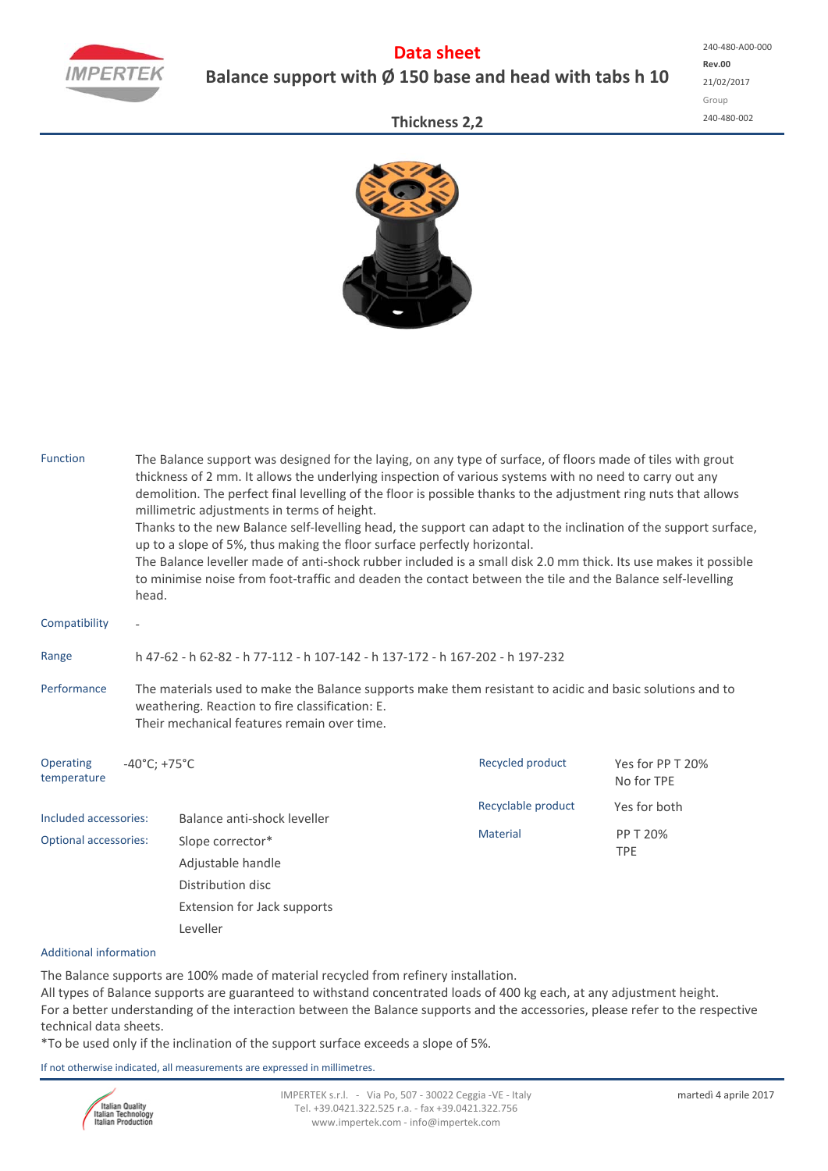

## **Data sheet Balance support with Ø 150 base and head with tabs h 10**

## **Thickness 2,2**



| <b>Function</b>              | head.                                                                                                                                                                                                      | The Balance support was designed for the laying, on any type of surface, of floors made of tiles with grout<br>thickness of 2 mm. It allows the underlying inspection of various systems with no need to carry out any<br>demolition. The perfect final levelling of the floor is possible thanks to the adjustment ring nuts that allows<br>millimetric adjustments in terms of height.<br>Thanks to the new Balance self-levelling head, the support can adapt to the inclination of the support surface,<br>up to a slope of 5%, thus making the floor surface perfectly horizontal.<br>The Balance leveller made of anti-shock rubber included is a small disk 2.0 mm thick. Its use makes it possible<br>to minimise noise from foot-traffic and deaden the contact between the tile and the Balance self-levelling |                    |                                |  |  |  |  |  |  |
|------------------------------|------------------------------------------------------------------------------------------------------------------------------------------------------------------------------------------------------------|--------------------------------------------------------------------------------------------------------------------------------------------------------------------------------------------------------------------------------------------------------------------------------------------------------------------------------------------------------------------------------------------------------------------------------------------------------------------------------------------------------------------------------------------------------------------------------------------------------------------------------------------------------------------------------------------------------------------------------------------------------------------------------------------------------------------------|--------------------|--------------------------------|--|--|--|--|--|--|
| Compatibility                | $\overline{\phantom{a}}$                                                                                                                                                                                   |                                                                                                                                                                                                                                                                                                                                                                                                                                                                                                                                                                                                                                                                                                                                                                                                                          |                    |                                |  |  |  |  |  |  |
| Range                        | h 47-62 - h 62-82 - h 77-112 - h 107-142 - h 137-172 - h 167-202 - h 197-232                                                                                                                               |                                                                                                                                                                                                                                                                                                                                                                                                                                                                                                                                                                                                                                                                                                                                                                                                                          |                    |                                |  |  |  |  |  |  |
| Performance                  | The materials used to make the Balance supports make them resistant to acidic and basic solutions and to<br>weathering. Reaction to fire classification: E.<br>Their mechanical features remain over time. |                                                                                                                                                                                                                                                                                                                                                                                                                                                                                                                                                                                                                                                                                                                                                                                                                          |                    |                                |  |  |  |  |  |  |
| Operating<br>temperature     | $-40^{\circ}$ C; +75 $^{\circ}$ C                                                                                                                                                                          |                                                                                                                                                                                                                                                                                                                                                                                                                                                                                                                                                                                                                                                                                                                                                                                                                          | Recycled product   | Yes for PP T 20%<br>No for TPE |  |  |  |  |  |  |
| Included accessories:        |                                                                                                                                                                                                            | Balance anti-shock leveller                                                                                                                                                                                                                                                                                                                                                                                                                                                                                                                                                                                                                                                                                                                                                                                              | Recyclable product | Yes for both                   |  |  |  |  |  |  |
| <b>Optional accessories:</b> | Slope corrector*<br>Adjustable handle<br>Distribution disc<br>Extension for Jack supports<br>Leveller                                                                                                      |                                                                                                                                                                                                                                                                                                                                                                                                                                                                                                                                                                                                                                                                                                                                                                                                                          | <b>Material</b>    | PP T 20%<br><b>TPE</b>         |  |  |  |  |  |  |
|                              |                                                                                                                                                                                                            |                                                                                                                                                                                                                                                                                                                                                                                                                                                                                                                                                                                                                                                                                                                                                                                                                          |                    |                                |  |  |  |  |  |  |

## Additional information

The Balance supports are 100% made of material recycled from refinery installation.

All types of Balance supports are guaranteed to withstand concentrated loads of 400 kg each, at any adjustment height. For a better understanding of the interaction between the Balance supports and the accessories, please refer to the respective technical data sheets.

\*To be used only if the inclination of the support surface exceeds a slope of 5%.

If not otherwise indicated, all measurements are expressed in millimetres.